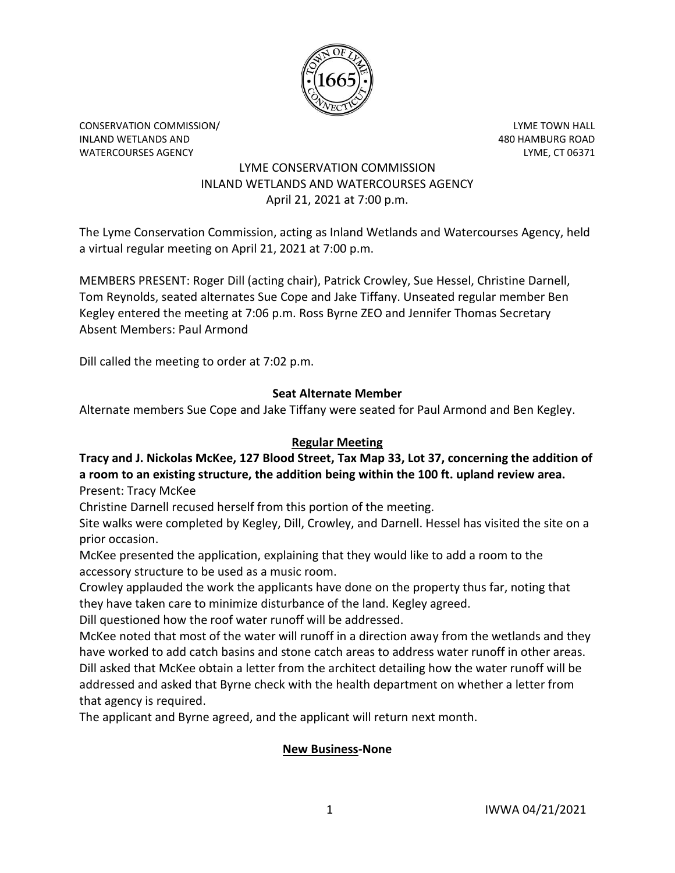

CONSERVATION COMMISSION/ LYME TOWN HALL INLAND WETLANDS AND 480 HAMBURG ROAD WATERCOURSES AGENCY LYME, CT 06371

## LYME CONSERVATION COMMISSION INLAND WETLANDS AND WATERCOURSES AGENCY April 21, 2021 at 7:00 p.m.

The Lyme Conservation Commission, acting as Inland Wetlands and Watercourses Agency, held a virtual regular meeting on April 21, 2021 at 7:00 p.m.

MEMBERS PRESENT: Roger Dill (acting chair), Patrick Crowley, Sue Hessel, Christine Darnell, Tom Reynolds, seated alternates Sue Cope and Jake Tiffany. Unseated regular member Ben Kegley entered the meeting at 7:06 p.m. Ross Byrne ZEO and Jennifer Thomas Secretary Absent Members: Paul Armond

Dill called the meeting to order at 7:02 p.m.

# **Seat Alternate Member**

Alternate members Sue Cope and Jake Tiffany were seated for Paul Armond and Ben Kegley.

## **Regular Meeting**

# **Tracy and J. Nickolas McKee, 127 Blood Street, Tax Map 33, Lot 37, concerning the addition of a room to an existing structure, the addition being within the 100 ft. upland review area.**

Present: Tracy McKee

Christine Darnell recused herself from this portion of the meeting.

Site walks were completed by Kegley, Dill, Crowley, and Darnell. Hessel has visited the site on a prior occasion.

McKee presented the application, explaining that they would like to add a room to the accessory structure to be used as a music room.

Crowley applauded the work the applicants have done on the property thus far, noting that they have taken care to minimize disturbance of the land. Kegley agreed.

Dill questioned how the roof water runoff will be addressed.

McKee noted that most of the water will runoff in a direction away from the wetlands and they have worked to add catch basins and stone catch areas to address water runoff in other areas. Dill asked that McKee obtain a letter from the architect detailing how the water runoff will be addressed and asked that Byrne check with the health department on whether a letter from that agency is required.

The applicant and Byrne agreed, and the applicant will return next month.

# **New Business-None**